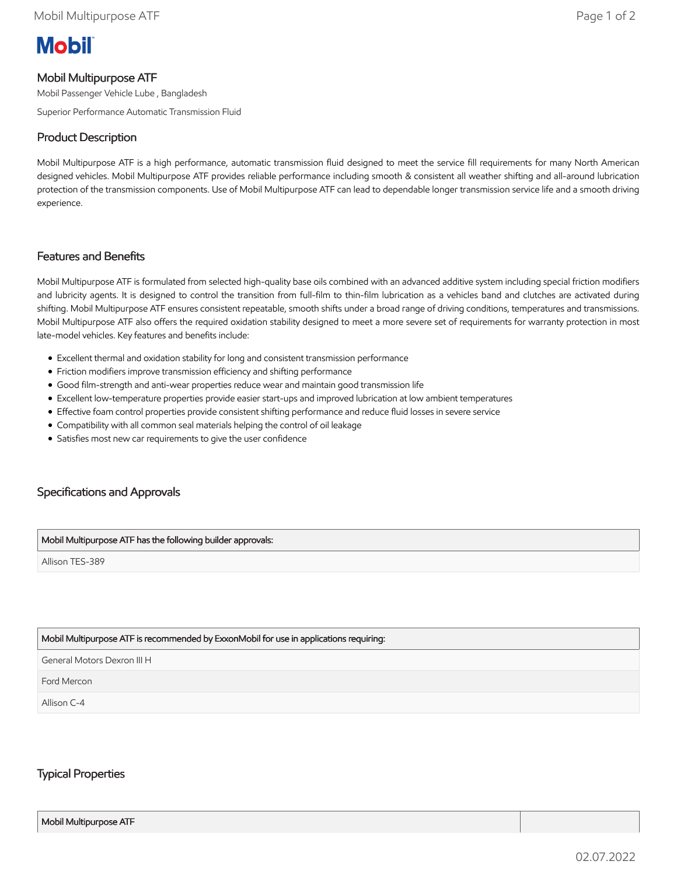# **Mobil**

## Mobil Multipurpose ATF

Mobil Passenger Vehicle Lube , Bangladesh

Superior Performance Automatic Transmission Fluid

# Product Description

Mobil Multipurpose ATF is a high performance, automatic transmission fluid designed to meet the service fill requirements for many North American designed vehicles. Mobil Multipurpose ATF provides reliable performance including smooth & consistent all weather shifting and all-around lubrication protection of the transmission components. Use of Mobil Multipurpose ATF can lead to dependable longer transmission service life and a smooth driving experience.

## Features and Benefits

Mobil Multipurpose ATF is formulated from selected high-quality base oils combined with an advanced additive system including special friction modifiers and lubricity agents. It is designed to control the transition from full-film to thin-film lubrication as a vehicles band and clutches are activated during shifting. Mobil Multipurpose ATF ensures consistent repeatable, smooth shifts under a broad range of driving conditions, temperatures and transmissions. Mobil Multipurpose ATF also offers the required oxidation stability designed to meet a more severe set of requirements for warranty protection in most late-model vehicles. Key features and benefits include:

- Excellent thermal and oxidation stability for long and consistent transmission performance
- Friction modifiers improve transmission efficiency and shifting performance
- Good film-strength and anti-wear properties reduce wear and maintain good transmission life
- Excellent low-temperature properties provide easier start-ups and improved lubrication at low ambient temperatures
- Effective foam control properties provide consistent shifting performance and reduce fluid losses in severe service
- Compatibility with all common seal materials helping the control of oil leakage
- Satisfies most new car requirements to give the user confidence

## Specifications and Approvals

#### Mobil Multipurpose ATF has the following builder approvals:

Allison TES-389

#### Mobil Multipurpose ATF is recommended by ExxonMobil for use in applications requiring:

General Motors Dexron III H

Ford Mercon

Allison C-4

## Typical Properties